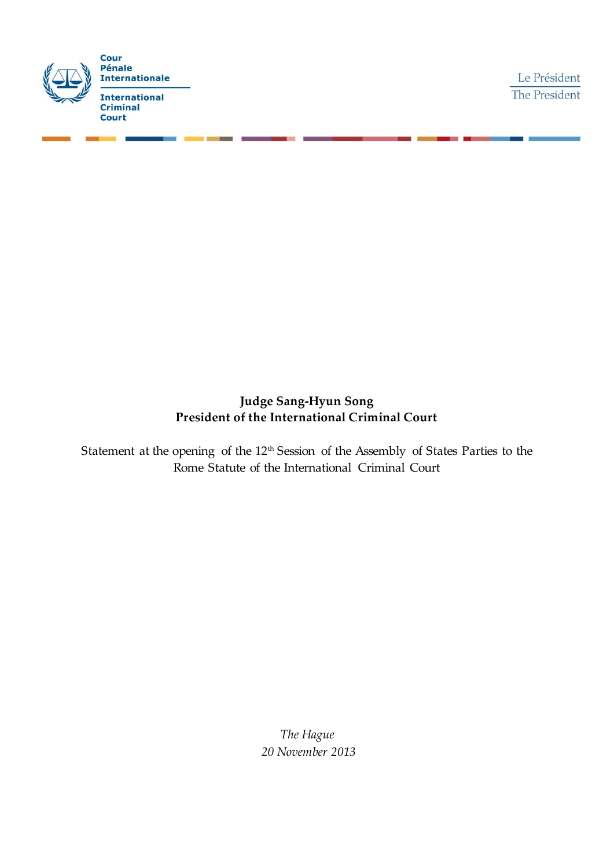

## **Judge Sang-Hyun Song President of the International Criminal Court**

Statement at the opening of the 12<sup>th</sup> Session of the Assembly of States Parties to the Rome Statute of the International Criminal Court

> *The Hague 20 November 2013*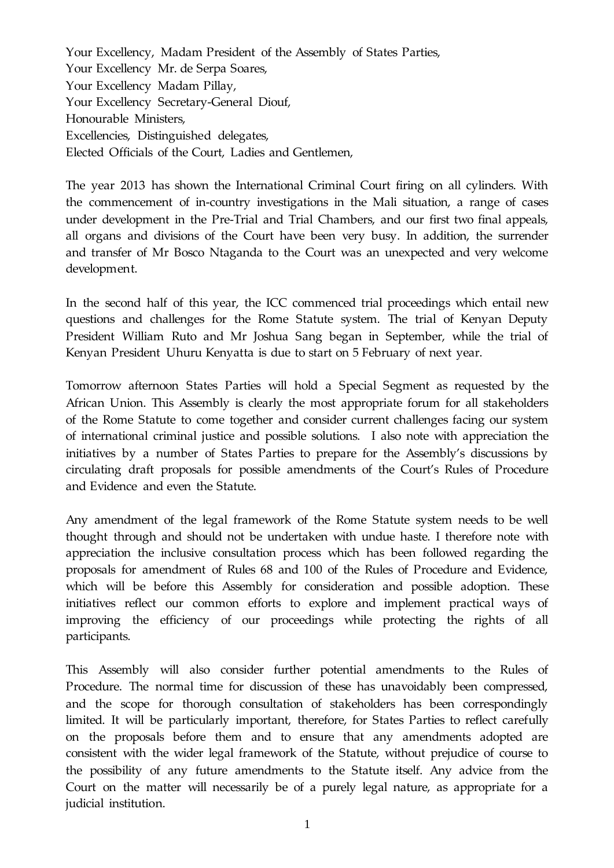Your Excellency, Madam President of the Assembly of States Parties, Your Excellency Mr. de Serpa Soares, Your Excellency Madam Pillay, Your Excellency Secretary-General Diouf, Honourable Ministers, Excellencies, Distinguished delegates, Elected Officials of the Court, Ladies and Gentlemen,

The year 2013 has shown the International Criminal Court firing on all cylinders. With the commencement of in-country investigations in the Mali situation, a range of cases under development in the Pre-Trial and Trial Chambers, and our first two final appeals, all organs and divisions of the Court have been very busy. In addition, the surrender and transfer of Mr Bosco Ntaganda to the Court was an unexpected and very welcome development.

In the second half of this year, the ICC commenced trial proceedings which entail new questions and challenges for the Rome Statute system. The trial of Kenyan Deputy President William Ruto and Mr Joshua Sang began in September, while the trial of Kenyan President Uhuru Kenyatta is due to start on 5 February of next year.

Tomorrow afternoon States Parties will hold a Special Segment as requested by the African Union. This Assembly is clearly the most appropriate forum for all stakeholders of the Rome Statute to come together and consider current challenges facing our system of international criminal justice and possible solutions. I also note with appreciation the initiatives by a number of States Parties to prepare for the Assembly's discussions by circulating draft proposals for possible amendments of the Court's Rules of Procedure and Evidence and even the Statute.

Any amendment of the legal framework of the Rome Statute system needs to be well thought through and should not be undertaken with undue haste. I therefore note with appreciation the inclusive consultation process which has been followed regarding the proposals for amendment of Rules 68 and 100 of the Rules of Procedure and Evidence, which will be before this Assembly for consideration and possible adoption. These initiatives reflect our common efforts to explore and implement practical ways of improving the efficiency of our proceedings while protecting the rights of all participants.

This Assembly will also consider further potential amendments to the Rules of Procedure. The normal time for discussion of these has unavoidably been compressed, and the scope for thorough consultation of stakeholders has been correspondingly limited. It will be particularly important, therefore, for States Parties to reflect carefully on the proposals before them and to ensure that any amendments adopted are consistent with the wider legal framework of the Statute, without prejudice of course to the possibility of any future amendments to the Statute itself. Any advice from the Court on the matter will necessarily be of a purely legal nature, as appropriate for a judicial institution.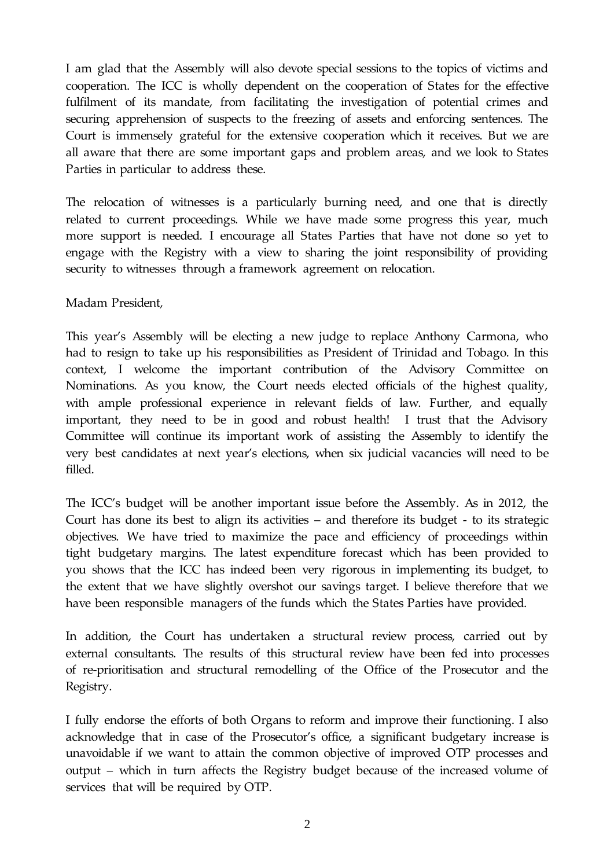I am glad that the Assembly will also devote special sessions to the topics of victims and cooperation. The ICC is wholly dependent on the cooperation of States for the effective fulfilment of its mandate, from facilitating the investigation of potential crimes and securing apprehension of suspects to the freezing of assets and enforcing sentences. The Court is immensely grateful for the extensive cooperation which it receives. But we are all aware that there are some important gaps and problem areas, and we look to States Parties in particular to address these.

The relocation of witnesses is a particularly burning need, and one that is directly related to current proceedings. While we have made some progress this year, much more support is needed. I encourage all States Parties that have not done so yet to engage with the Registry with a view to sharing the joint responsibility of providing security to witnesses through a framework agreement on relocation.

Madam President,

This year's Assembly will be electing a new judge to replace Anthony Carmona, who had to resign to take up his responsibilities as President of Trinidad and Tobago. In this context, I welcome the important contribution of the Advisory Committee on Nominations. As you know, the Court needs elected officials of the highest quality, with ample professional experience in relevant fields of law. Further, and equally important, they need to be in good and robust health! I trust that the Advisory Committee will continue its important work of assisting the Assembly to identify the very best candidates at next year's elections, when six judicial vacancies will need to be filled.

The ICC's budget will be another important issue before the Assembly. As in 2012, the Court has done its best to align its activities – and therefore its budget - to its strategic objectives. We have tried to maximize the pace and efficiency of proceedings within tight budgetary margins. The latest expenditure forecast which has been provided to you shows that the ICC has indeed been very rigorous in implementing its budget, to the extent that we have slightly overshot our savings target. I believe therefore that we have been responsible managers of the funds which the States Parties have provided.

In addition, the Court has undertaken a structural review process, carried out by external consultants. The results of this structural review have been fed into processes of re-prioritisation and structural remodelling of the Office of the Prosecutor and the Registry.

I fully endorse the efforts of both Organs to reform and improve their functioning. I also acknowledge that in case of the Prosecutor's office, a significant budgetary increase is unavoidable if we want to attain the common objective of improved OTP processes and output – which in turn affects the Registry budget because of the increased volume of services that will be required by OTP.